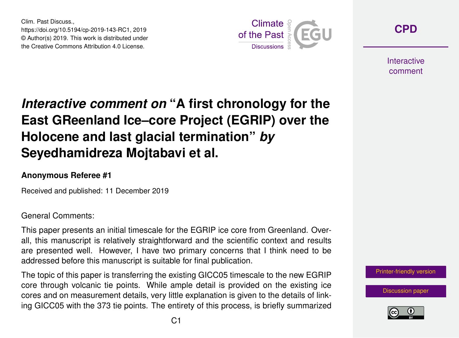Clim. Past Discuss., https://doi.org/10.5194/cp-2019-143-RC1, 2019 © Author(s) 2019. This work is distributed under the Creative Commons Attribution 4.0 License.



**[CPD](https://www.clim-past-discuss.net/)**

**Interactive** comment

## *Interactive comment on* **"A first chronology for the East GReenland Ice–core Project (EGRIP) over the Holocene and last glacial termination"** *by* **Seyedhamidreza Mojtabavi et al.**

## **Anonymous Referee #1**

Received and published: 11 December 2019

General Comments:

This paper presents an initial timescale for the EGRIP ice core from Greenland. Overall, this manuscript is relatively straightforward and the scientific context and results are presented well. However, I have two primary concerns that I think need to be addressed before this manuscript is suitable for final publication.

The topic of this paper is transferring the existing GICC05 timescale to the new EGRIP core through volcanic tie points. While ample detail is provided on the existing ice cores and on measurement details, very little explanation is given to the details of linking GICC05 with the 373 tie points. The entirety of this process, is briefly summarized



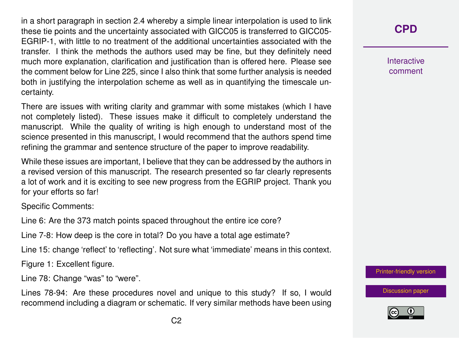in a short paragraph in section 2.4 whereby a simple linear interpolation is used to link these tie points and the uncertainty associated with GICC05 is transferred to GICC05- EGRIP-1, with little to no treatment of the additional uncertainties associated with the transfer. I think the methods the authors used may be fine, but they definitely need much more explanation, clarification and justification than is offered here. Please see the comment below for Line 225, since I also think that some further analysis is needed both in justifying the interpolation scheme as well as in quantifying the timescale uncertainty.

There are issues with writing clarity and grammar with some mistakes (which I have not completely listed). These issues make it difficult to completely understand the manuscript. While the quality of writing is high enough to understand most of the science presented in this manuscript, I would recommend that the authors spend time refining the grammar and sentence structure of the paper to improve readability.

While these issues are important, I believe that they can be addressed by the authors in a revised version of this manuscript. The research presented so far clearly represents a lot of work and it is exciting to see new progress from the EGRIP project. Thank you for your efforts so far!

Specific Comments:

Line 6: Are the 373 match points spaced throughout the entire ice core?

Line 7-8: How deep is the core in total? Do you have a total age estimate?

Line 15: change 'reflect' to 'reflecting'. Not sure what 'immediate' means in this context.

Figure 1: Excellent figure.

Line 78: Change "was" to "were".

Lines 78-94: Are these procedures novel and unique to this study? If so, I would recommend including a diagram or schematic. If very similar methods have been using

## **[CPD](https://www.clim-past-discuss.net/)**

Interactive comment

[Printer-friendly version](https://www.clim-past-discuss.net/cp-2019-143/cp-2019-143-RC1-print.pdf)

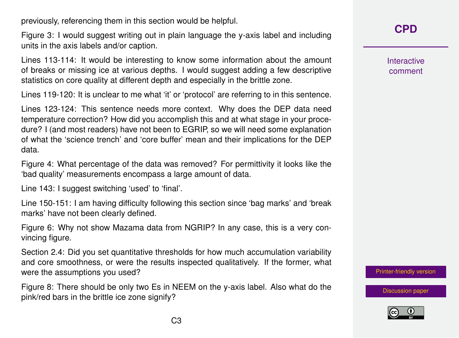previously, referencing them in this section would be helpful.

Figure 3: I would suggest writing out in plain language the y-axis label and including units in the axis labels and/or caption.

Lines 113-114: It would be interesting to know some information about the amount of breaks or missing ice at various depths. I would suggest adding a few descriptive statistics on core quality at different depth and especially in the brittle zone.

Lines 119-120: It is unclear to me what 'it' or 'protocol' are referring to in this sentence.

Lines 123-124: This sentence needs more context. Why does the DEP data need temperature correction? How did you accomplish this and at what stage in your procedure? I (and most readers) have not been to EGRIP, so we will need some explanation of what the 'science trench' and 'core buffer' mean and their implications for the DEP data.

Figure 4: What percentage of the data was removed? For permittivity it looks like the 'bad quality' measurements encompass a large amount of data.

Line 143: I suggest switching 'used' to 'final'.

Line 150-151: I am having difficulty following this section since 'bag marks' and 'break marks' have not been clearly defined.

Figure 6: Why not show Mazama data from NGRIP? In any case, this is a very convincing figure.

Section 2.4: Did you set quantitative thresholds for how much accumulation variability and core smoothness, or were the results inspected qualitatively. If the former, what were the assumptions you used?

Figure 8: There should be only two Es in NEEM on the y-axis label. Also what do the pink/red bars in the brittle ice zone signify?

Interactive comment

[Printer-friendly version](https://www.clim-past-discuss.net/cp-2019-143/cp-2019-143-RC1-print.pdf)

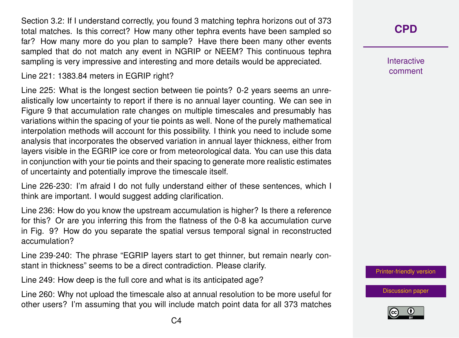Section 3.2: If I understand correctly, you found 3 matching tephra horizons out of 373 total matches. Is this correct? How many other tephra events have been sampled so far? How many more do you plan to sample? Have there been many other events sampled that do not match any event in NGRIP or NEEM? This continuous tephra sampling is very impressive and interesting and more details would be appreciated.

Line 221: 1383.84 meters in EGRIP right?

Line 225: What is the longest section between tie points? 0-2 years seems an unrealistically low uncertainty to report if there is no annual layer counting. We can see in Figure 9 that accumulation rate changes on multiple timescales and presumably has variations within the spacing of your tie points as well. None of the purely mathematical interpolation methods will account for this possibility. I think you need to include some analysis that incorporates the observed variation in annual layer thickness, either from layers visible in the EGRIP ice core or from meteorological data. You can use this data in conjunction with your tie points and their spacing to generate more realistic estimates of uncertainty and potentially improve the timescale itself.

Line 226-230: I'm afraid I do not fully understand either of these sentences, which I think are important. I would suggest adding clarification.

Line 236: How do you know the upstream accumulation is higher? Is there a reference for this? Or are you inferring this from the flatness of the 0-8 ka accumulation curve in Fig. 9? How do you separate the spatial versus temporal signal in reconstructed accumulation?

Line 239-240: The phrase "EGRIP layers start to get thinner, but remain nearly constant in thickness" seems to be a direct contradiction. Please clarify.

Line 249: How deep is the full core and what is its anticipated age?

Line 260: Why not upload the timescale also at annual resolution to be more useful for other users? I'm assuming that you will include match point data for all 373 matches Interactive comment

[Printer-friendly version](https://www.clim-past-discuss.net/cp-2019-143/cp-2019-143-RC1-print.pdf)